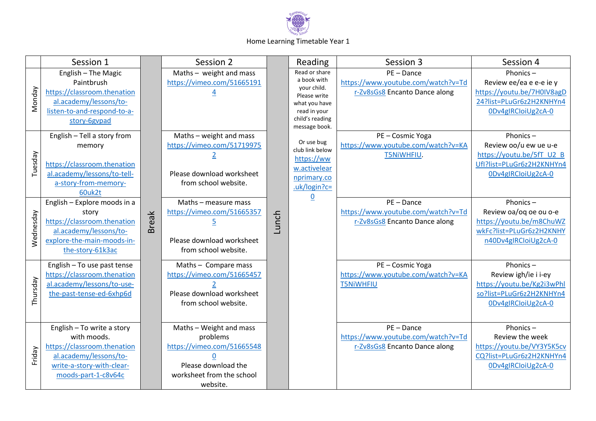

## Home Learning Timetable Year 1

|           | Session 1                                                                                                                                              |              | Session 2                                                                                                                         |       | Reading                                                                                                                          | Session 3                                                                           | Session 4                                                                                                           |
|-----------|--------------------------------------------------------------------------------------------------------------------------------------------------------|--------------|-----------------------------------------------------------------------------------------------------------------------------------|-------|----------------------------------------------------------------------------------------------------------------------------------|-------------------------------------------------------------------------------------|---------------------------------------------------------------------------------------------------------------------|
| Monday    | English - The Magic<br>Paintbrush<br>https://classroom.thenation<br>al.academy/lessons/to-<br>listen-to-and-respond-to-a-<br>story-6gvpad              |              | Maths $-$ weight and mass<br>https://vimeo.com/51665191                                                                           |       | Read or share<br>a book with<br>your child.<br>Please write<br>what you have<br>read in your<br>child's reading<br>message book. | $PE - Dance$<br>https://www.youtube.com/watch?v=Td<br>r-Zv8sGs8 Encanto Dance along | Phonics-<br>Review ee/ea e e-e ie y<br>https://youtu.be/7H0IV8agD<br>24?list=PLuGr6z2H2KNHYn4<br>0Dv4gIRCloiUg2cA-0 |
| Tuesday   | English - Tell a story from<br>memory<br>https://classroom.thenation<br>al.academy/lessons/to-tell-<br>a-story-from-memory-<br>60uk2t                  |              | Maths - weight and mass<br>https://vimeo.com/51719975<br>Please download worksheet<br>from school website.                        |       | Or use bug<br>club link below<br>https://ww<br>w.activelear<br>nprimary.co<br>.uk/login?c=                                       | PE-Cosmic Yoga<br>https://www.youtube.com/watch?v=KA<br><b>T5NiWHFIU.</b>           | Phonics-<br>Review oo/u ew ue u-e<br>https://youtu.be/5fT U2 B<br>Ufl?list=PLuGr6z2H2KNHYn4<br>0Dv4gIRCloiUg2cA-0   |
| Wednesday | English - Explore moods in a<br>story<br>https://classroom.thenation<br>al.academy/lessons/to-<br>explore-the-main-moods-in-<br>the-story-61k3ac       | <b>Break</b> | Maths - measure mass<br>https://vimeo.com/51665357<br><u>5</u><br>Please download worksheet<br>from school website.               | Lunch | $\underline{0}$                                                                                                                  | $PE - Dance$<br>https://www.youtube.com/watch?v=Td<br>r-Zv8sGs8 Encanto Dance along | Phonics-<br>Review oa/oq oe ou o-e<br>https://youtu.be/m8ChuWZ<br>wkFc?list=PLuGr6z2H2KNHY<br>n40Dv4gIRCloiUg2cA-0  |
| Thursday  | English - To use past tense<br>https://classroom.thenation<br>al.academy/lessons/to-use-<br>the-past-tense-ed-6xhp6d                                   |              | Maths - Compare mass<br>https://vimeo.com/51665457<br>Please download worksheet<br>from school website.                           |       |                                                                                                                                  | PE - Cosmic Yoga<br>https://www.youtube.com/watch?v=KA<br><b>T5NiWHFIU</b>          | Phonics-<br>Review igh/ie i i-ey<br>https://youtu.be/Kg2i3wPhl<br>so?list=PLuGr6z2H2KNHYn4<br>0Dv4glRCloiUg2cA-0    |
| Friday    | English - To write a story<br>with moods.<br>https://classroom.thenation<br>al.academy/lessons/to-<br>write-a-story-with-clear-<br>moods-part-1-c8v64c |              | Maths - Weight and mass<br>problems<br>https://vimeo.com/51665548<br>Please download the<br>worksheet from the school<br>website. |       |                                                                                                                                  | PE-Dance<br>https://www.youtube.com/watch?v=Td<br>r-Zv8sGs8 Encanto Dance along     | Phonics-<br>Review the week<br>https://youtu.be/VY3Y5K5cv<br>CQ?list=PLuGr6z2H2KNHYn4<br>0Dv4gIRCloiUg2cA-0         |